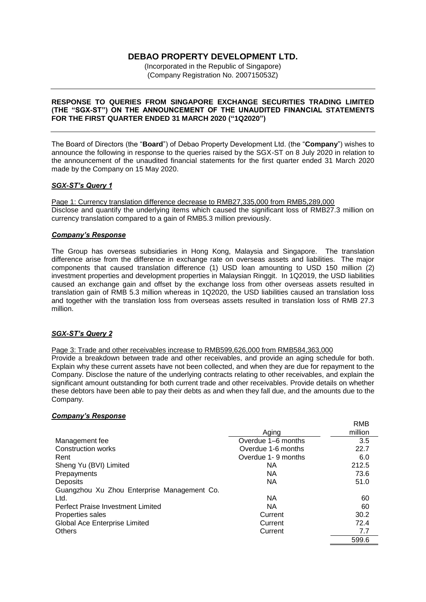# **DEBAO PROPERTY DEVELOPMENT LTD.**

(Incorporated in the Republic of Singapore) (Company Registration No. 200715053Z)

### **RESPONSE TO QUERIES FROM SINGAPORE EXCHANGE SECURITIES TRADING LIMITED (THE "SGX-ST") ON THE ANNOUNCEMENT OF THE UNAUDITED FINANCIAL STATEMENTS FOR THE FIRST QUARTER ENDED 31 MARCH 2020 ("1Q2020")**

The Board of Directors (the "**Board**") of Debao Property Development Ltd. (the "**Company**") wishes to announce the following in response to the queries raised by the SGX-ST on 8 July 2020 in relation to the announcement of the unaudited financial statements for the first quarter ended 31 March 2020 made by the Company on 15 May 2020.

# *SGX-ST's Query 1*

Page 1: Currency translation difference decrease to RMB27,335,000 from RMB5,289,000 Disclose and quantify the underlying items which caused the significant loss of RMB27.3 million on currency translation compared to a gain of RMB5.3 million previously.

### *Company's Response*

The Group has overseas subsidiaries in Hong Kong, Malaysia and Singapore. The translation difference arise from the difference in exchange rate on overseas assets and liabilities. The major components that caused translation difference (1) USD loan amounting to USD 150 million (2) investment properties and development properties in Malaysian Ringgit. In 1Q2019, the USD liabilities caused an exchange gain and offset by the exchange loss from other overseas assets resulted in translation gain of RMB 5.3 million whereas in 1Q2020, the USD liabilities caused an translation loss and together with the translation loss from overseas assets resulted in translation loss of RMB 27.3 million.

# *SGX-ST's Query 2*

### Page 3: Trade and other receivables increase to RMB599,626,000 from RMB584,363,000

Provide a breakdown between trade and other receivables, and provide an aging schedule for both. Explain why these current assets have not been collected, and when they are due for repayment to the Company. Disclose the nature of the underlying contracts relating to other receivables, and explain the significant amount outstanding for both current trade and other receivables. Provide details on whether these debtors have been able to pay their debts as and when they fall due, and the amounts due to the Company.

RMB

### *Company's Response*

|                                             |                    | שואו    |
|---------------------------------------------|--------------------|---------|
|                                             | Aging              | million |
| Management fee                              | Overdue 1–6 months | 3.5     |
| Construction works                          | Overdue 1-6 months | 22.7    |
| Rent                                        | Overdue 1-9 months | 6.0     |
| Sheng Yu (BVI) Limited                      | NA.                | 212.5   |
| Prepayments                                 | NA.                | 73.6    |
| <b>Deposits</b>                             | <b>NA</b>          | 51.0    |
| Guangzhou Xu Zhou Enterprise Management Co. |                    |         |
| Ltd.                                        | NA.                | 60      |
| Perfect Praise Investment Limited           | NA.                | 60      |
| Properties sales                            | Current            | 30.2    |
| Global Ace Enterprise Limited               | Current            | 72.4    |
| <b>Others</b>                               | Current            | 7.7     |
|                                             |                    | 599.6   |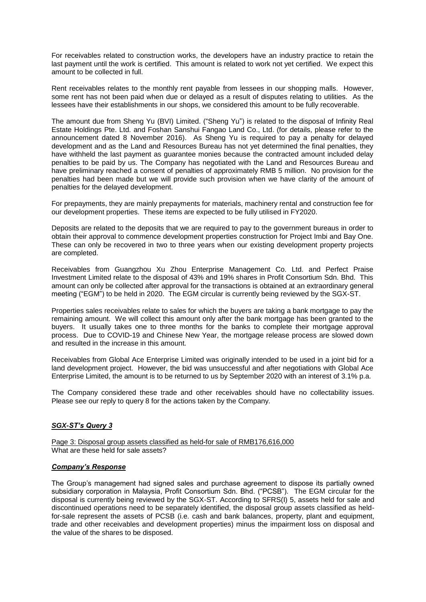For receivables related to construction works, the developers have an industry practice to retain the last payment until the work is certified. This amount is related to work not yet certified. We expect this amount to be collected in full.

Rent receivables relates to the monthly rent payable from lessees in our shopping malls. However, some rent has not been paid when due or delayed as a result of disputes relating to utilities. As the lessees have their establishments in our shops, we considered this amount to be fully recoverable.

The amount due from Sheng Yu (BVI) Limited. ("Sheng Yu") is related to the disposal of Infinity Real Estate Holdings Pte. Ltd. and Foshan Sanshui Fangao Land Co., Ltd. (for details, please refer to the announcement dated 8 November 2016). As Sheng Yu is required to pay a penalty for delayed development and as the Land and Resources Bureau has not yet determined the final penalties, they have withheld the last payment as guarantee monies because the contracted amount included delay penalties to be paid by us. The Company has negotiated with the Land and Resources Bureau and have preliminary reached a consent of penalties of approximately RMB 5 million. No provision for the penalties had been made but we will provide such provision when we have clarity of the amount of penalties for the delayed development.

For prepayments, they are mainly prepayments for materials, machinery rental and construction fee for our development properties. These items are expected to be fully utilised in FY2020.

Deposits are related to the deposits that we are required to pay to the government bureaus in order to obtain their approval to commence development properties construction for Project Imbi and Bay One. These can only be recovered in two to three years when our existing development property projects are completed.

Receivables from Guangzhou Xu Zhou Enterprise Management Co. Ltd. and Perfect Praise Investment Limited relate to the disposal of 43% and 19% shares in Profit Consortium Sdn. Bhd. This amount can only be collected after approval for the transactions is obtained at an extraordinary general meeting ("EGM") to be held in 2020. The EGM circular is currently being reviewed by the SGX-ST.

Properties sales receivables relate to sales for which the buyers are taking a bank mortgage to pay the remaining amount. We will collect this amount only after the bank mortgage has been granted to the buyers. It usually takes one to three months for the banks to complete their mortgage approval process. Due to COVID-19 and Chinese New Year, the mortgage release process are slowed down and resulted in the increase in this amount.

Receivables from Global Ace Enterprise Limited was originally intended to be used in a joint bid for a land development project. However, the bid was unsuccessful and after negotiations with Global Ace Enterprise Limited, the amount is to be returned to us by September 2020 with an interest of 3.1% p.a.

The Company considered these trade and other receivables should have no collectability issues. Please see our reply to query 8 for the actions taken by the Company.

# *SGX-ST's Query 3*

Page 3: Disposal group assets classified as held-for sale of RMB176,616,000 What are these held for sale assets?

### *Company's Response*

The Group's management had signed sales and purchase agreement to dispose its partially owned subsidiary corporation in Malaysia, Profit Consortium Sdn. Bhd. ("PCSB"). The EGM circular for the disposal is currently being reviewed by the SGX-ST. According to SFRS(I) 5, assets held for sale and discontinued operations need to be separately identified, the disposal group assets classified as heldfor-sale represent the assets of PCSB (i.e. cash and bank balances, property, plant and equipment, trade and other receivables and development properties) minus the impairment loss on disposal and the value of the shares to be disposed.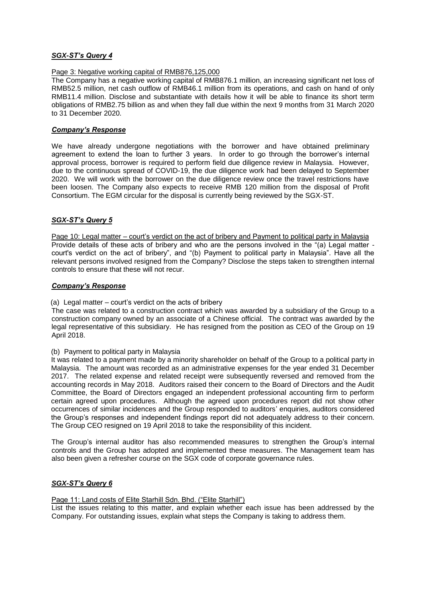# *SGX-ST's Query 4*

### Page 3: Negative working capital of RMB876,125,000

The Company has a negative working capital of RMB876.1 million, an increasing significant net loss of RMB52.5 million, net cash outflow of RMB46.1 million from its operations, and cash on hand of only RMB11.4 million. Disclose and substantiate with details how it will be able to finance its short term obligations of RMB2.75 billion as and when they fall due within the next 9 months from 31 March 2020 to 31 December 2020.

### *Company's Response*

We have already undergone negotiations with the borrower and have obtained preliminary agreement to extend the loan to further 3 years. In order to go through the borrower's internal approval process, borrower is required to perform field due diligence review in Malaysia. However, due to the continuous spread of COVID-19, the due diligence work had been delayed to September 2020. We will work with the borrower on the due diligence review once the travel restrictions have been loosen. The Company also expects to receive RMB 120 million from the disposal of Profit Consortium. The EGM circular for the disposal is currently being reviewed by the SGX-ST.

# *SGX-ST's Query 5*

Page 10: Legal matter – court's verdict on the act of bribery and Payment to political party in Malaysia Provide details of these acts of bribery and who are the persons involved in the "(a) Legal matter court's verdict on the act of bribery", and "(b) Payment to political party in Malaysia". Have all the relevant persons involved resigned from the Company? Disclose the steps taken to strengthen internal controls to ensure that these will not recur.

### *Company's Response*

### (a) Legal matter – court's verdict on the acts of bribery

The case was related to a construction contract which was awarded by a subsidiary of the Group to a construction company owned by an associate of a Chinese official. The contract was awarded by the legal representative of this subsidiary. He has resigned from the position as CEO of the Group on 19 April 2018.

### (b) Payment to political party in Malaysia

It was related to a payment made by a minority shareholder on behalf of the Group to a political party in Malaysia. The amount was recorded as an administrative expenses for the year ended 31 December 2017. The related expense and related receipt were subsequently reversed and removed from the accounting records in May 2018. Auditors raised their concern to the Board of Directors and the Audit Committee, the Board of Directors engaged an independent professional accounting firm to perform certain agreed upon procedures. Although the agreed upon procedures report did not show other occurrences of similar incidences and the Group responded to auditors' enquiries, auditors considered the Group's responses and independent findings report did not adequately address to their concern. The Group CEO resigned on 19 April 2018 to take the responsibility of this incident.

The Group's internal auditor has also recommended measures to strengthen the Group's internal controls and the Group has adopted and implemented these measures. The Management team has also been given a refresher course on the SGX code of corporate governance rules.

### *SGX-ST's Query 6*

### Page 11: Land costs of Elite Starhill Sdn. Bhd. ("Elite Starhill")

List the issues relating to this matter, and explain whether each issue has been addressed by the Company. For outstanding issues, explain what steps the Company is taking to address them.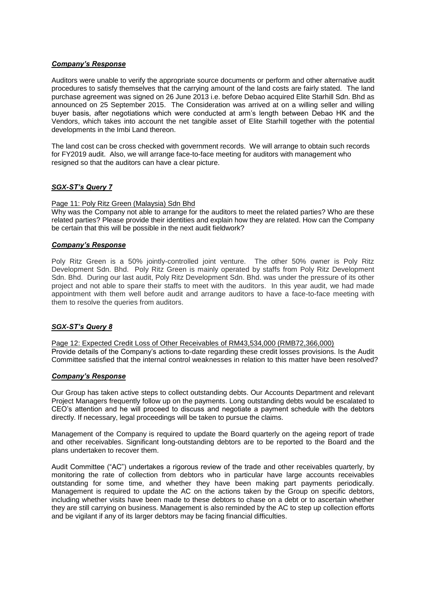# *Company's Response*

Auditors were unable to verify the appropriate source documents or perform and other alternative audit procedures to satisfy themselves that the carrying amount of the land costs are fairly stated. The land purchase agreement was signed on 26 June 2013 i.e. before Debao acquired Elite Starhill Sdn. Bhd as announced on 25 September 2015. The Consideration was arrived at on a willing seller and willing buyer basis, after negotiations which were conducted at arm's length between Debao HK and the Vendors, which takes into account the net tangible asset of Elite Starhill together with the potential developments in the Imbi Land thereon.

The land cost can be cross checked with government records. We will arrange to obtain such records for FY2019 audit. Also, we will arrange face-to-face meeting for auditors with management who resigned so that the auditors can have a clear picture.

### *SGX-ST's Query 7*

#### Page 11: Poly Ritz Green (Malaysia) Sdn Bhd

Why was the Company not able to arrange for the auditors to meet the related parties? Who are these related parties? Please provide their identities and explain how they are related. How can the Company be certain that this will be possible in the next audit fieldwork?

### *Company's Response*

Poly Ritz Green is a 50% jointly-controlled joint venture. The other 50% owner is Poly Ritz Development Sdn. Bhd. Poly Ritz Green is mainly operated by staffs from Poly Ritz Development Sdn. Bhd. During our last audit, Poly Ritz Development Sdn. Bhd. was under the pressure of its other project and not able to spare their staffs to meet with the auditors. In this year audit, we had made appointment with them well before audit and arrange auditors to have a face-to-face meeting with them to resolve the queries from auditors.

### *SGX-ST's Query 8*

Page 12: Expected Credit Loss of Other Receivables of RM43,534,000 (RMB72,366,000) Provide details of the Company's actions to-date regarding these credit losses provisions. Is the Audit Committee satisfied that the internal control weaknesses in relation to this matter have been resolved?

### *Company's Response*

Our Group has taken active steps to collect outstanding debts. Our Accounts Department and relevant Project Managers frequently follow up on the payments. Long outstanding debts would be escalated to CEO's attention and he will proceed to discuss and negotiate a payment schedule with the debtors directly. If necessary, legal proceedings will be taken to pursue the claims.

Management of the Company is required to update the Board quarterly on the ageing report of trade and other receivables. Significant long-outstanding debtors are to be reported to the Board and the plans undertaken to recover them.

Audit Committee ("AC") undertakes a rigorous review of the trade and other receivables quarterly, by monitoring the rate of collection from debtors who in particular have large accounts receivables outstanding for some time, and whether they have been making part payments periodically. Management is required to update the AC on the actions taken by the Group on specific debtors, including whether visits have been made to these debtors to chase on a debt or to ascertain whether they are still carrying on business. Management is also reminded by the AC to step up collection efforts and be vigilant if any of its larger debtors may be facing financial difficulties.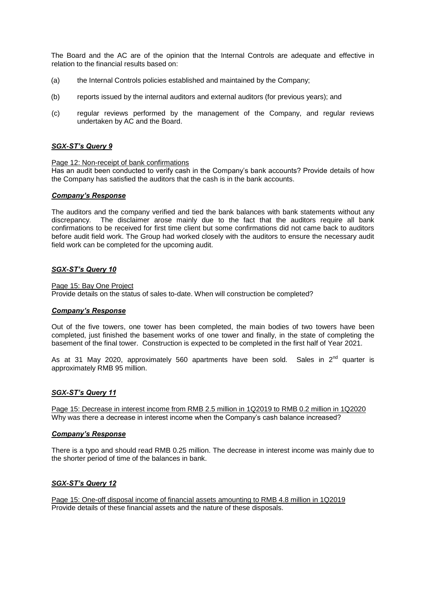The Board and the AC are of the opinion that the Internal Controls are adequate and effective in relation to the financial results based on:

- (a) the Internal Controls policies established and maintained by the Company;
- (b) reports issued by the internal auditors and external auditors (for previous years); and
- (c) regular reviews performed by the management of the Company, and regular reviews undertaken by AC and the Board.

### *SGX-ST's Query 9*

### Page 12: Non-receipt of bank confirmations

Has an audit been conducted to verify cash in the Company's bank accounts? Provide details of how the Company has satisfied the auditors that the cash is in the bank accounts.

### *Company's Response*

The auditors and the company verified and tied the bank balances with bank statements without any discrepancy. The disclaimer arose mainly due to the fact that the auditors require all bank confirmations to be received for first time client but some confirmations did not came back to auditors before audit field work. The Group had worked closely with the auditors to ensure the necessary audit field work can be completed for the upcoming audit.

### *SGX-ST's Query 10*

Page 15: Bay One Project Provide details on the status of sales to-date. When will construction be completed?

### *Company's Response*

Out of the five towers, one tower has been completed, the main bodies of two towers have been completed, just finished the basement works of one tower and finally, in the state of completing the basement of the final tower. Construction is expected to be completed in the first half of Year 2021.

As at 31 May 2020, approximately 560 apartments have been sold. Sales in  $2^{nd}$  quarter is approximately RMB 95 million.

### *SGX-ST's Query 11*

Page 15: Decrease in interest income from RMB 2.5 million in 1Q2019 to RMB 0.2 million in 1Q2020 Why was there a decrease in interest income when the Company's cash balance increased?

### *Company's Response*

There is a typo and should read RMB 0.25 million. The decrease in interest income was mainly due to the shorter period of time of the balances in bank.

### *SGX-ST's Query 12*

Page 15: One-off disposal income of financial assets amounting to RMB 4.8 million in 1Q2019 Provide details of these financial assets and the nature of these disposals.